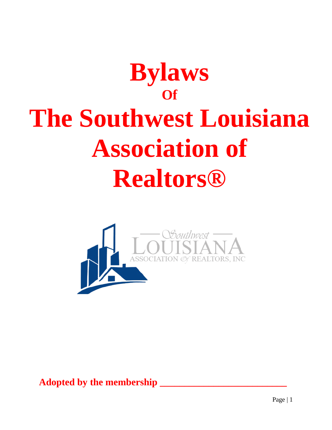# **Bylaws Of The Southwest Louisiana Association of Realtors®**



**Adopted by the membership \_\_\_\_\_\_\_\_\_\_\_\_\_\_\_\_\_\_\_\_\_\_\_\_\_\_**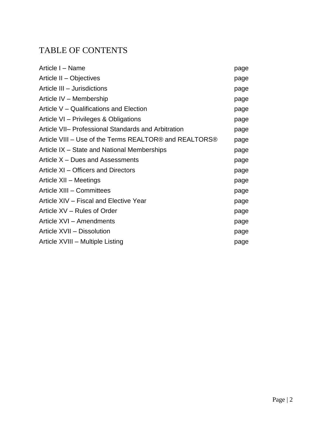# TABLE OF CONTENTS

| Article I - Name                                       | page |
|--------------------------------------------------------|------|
| Article II - Objectives                                | page |
| Article III - Jurisdictions                            | page |
| Article IV - Membership                                | page |
| Article V – Qualifications and Election                | page |
| Article VI – Privileges & Obligations                  | page |
| Article VII- Professional Standards and Arbitration    | page |
| Article VIII – Use of the Terms REALTOR® and REALTORS® | page |
| Article IX – State and National Memberships            | page |
| Article X - Dues and Assessments                       | page |
| Article XI – Officers and Directors                    | page |
| Article XII - Meetings                                 | page |
| Article XIII - Committees                              | page |
| Article XIV - Fiscal and Elective Year                 | page |
| Article XV – Rules of Order                            | page |
| Article XVI - Amendments                               | page |
| Article XVII - Dissolution                             | page |
| Article XVIII - Multiple Listing                       | page |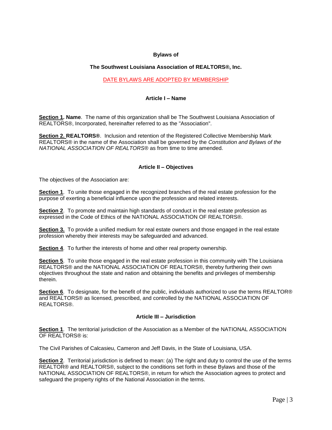# **Bylaws of**

# **The Southwest Louisiana Association of REALTORS®, Inc.**

# DATE BYLAWS ARE ADOPTED BY MEMBERSHIP

# **Article I – Name**

**Section 1. Name**. The name of this organization shall be The Southwest Louisiana Association of REALTORS®, Incorporated, hereinafter referred to as the "Association".

**Section 2. REALTORS®**. Inclusion and retention of the Registered Collective Membership Mark REALTORS® in the name of the Association shall be governed by the *Constitution and Bylaws of the NATIONAL ASSOCIATION OF REALTORS®* as from time to time amended.

# **Article II – Objectives**

The objectives of the Association are:

**Section 1**. To unite those engaged in the recognized branches of the real estate profession for the purpose of exerting a beneficial influence upon the profession and related interests.

**Section 2**. To promote and maintain high standards of conduct in the real estate profession as expressed in the Code of Ethics of the NATIONAL ASSOCIATION OF REALTORS®.

**Section 3.** To provide a unified medium for real estate owners and those engaged in the real estate profession whereby their interests may be safeguarded and advanced.

**Section 4**. To further the interests of home and other real property ownership.

**Section 5**. To unite those engaged in the real estate profession in this community with The Louisiana REALTORS® and the NATIONAL ASSOCIATION OF REALTORS®, thereby furthering their own objectives throughout the state and nation and obtaining the benefits and privileges of membership therein.

**Section 6**. To designate, for the benefit of the public, individuals authorized to use the terms REALTOR® and REALTORS® as licensed, prescribed, and controlled by the NATIONAL ASSOCIATION OF REALTORS®.

# **Article III – Jurisdiction**

**Section 1**. The territorial jurisdiction of the Association as a Member of the NATIONAL ASSOCIATION OF REALTORS® is:

The Civil Parishes of Calcasieu, Cameron and Jeff Davis, in the State of Louisiana, USA.

**Section 2**. Territorial jurisdiction is defined to mean: (a) The right and duty to control the use of the terms REALTOR® and REALTORS®, subject to the conditions set forth in these Bylaws and those of the NATIONAL ASSOCIATION OF REALTORS®, in return for which the Association agrees to protect and safeguard the property rights of the National Association in the terms.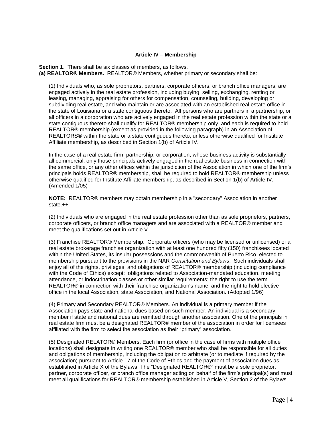# **Article IV – Membership**

**Section 1**. There shall be six classes of members, as follows. **(a) REALTOR® Members.** REALTOR® Members, whether primary or secondary shall be:

(1) Individuals who, as sole proprietors, partners, corporate officers, or branch office managers, are engaged actively in the real estate profession, including buying, selling, exchanging, renting or leasing, managing, appraising for others for compensation, counseling, building, developing or subdividing real estate, and who maintain or are associated with an established real estate office in the state of Louisiana or a state contiguous thereto. All persons who are partners in a partnership, or all officers in a corporation who are actively engaged in the real estate profession within the state or a state contiguous thereto shall qualify for REALTOR® membership only, and each is required to hold REALTOR® membership (except as provided in the following paragraph) in an Association of REALTORS<sup>®</sup> within the state or a state contiguous thereto, unless otherwise qualified for Institute Affiliate membership, as described in Section 1(b) of Article IV.

In the case of a real estate firm, partnership, or corporation, whose business activity is substantially all commercial, only those principals actively engaged in the real estate business in connection with the same office, or any other offices within the jurisdiction of the Association in which one of the firm's principals holds REALTOR® membership, shall be required to hold REALTOR® membership unless otherwise qualified for Institute Affiliate membership, as described in Section 1(b) of Article IV. (Amended 1/05)

**NOTE:** REALTOR® members may obtain membership in a "secondary" Association in another state.++

(2) Individuals who are engaged in the real estate profession other than as sole proprietors, partners, corporate officers, or branch office managers and are associated with a REALTOR® member and meet the qualifications set out in Article V.

(3) Franchise REALTOR® Membership. Corporate officers (who may be licensed or unlicensed) of a real estate brokerage franchise organization with at least one hundred fifty (150) franchisees located within the United States, its insular possessions and the commonwealth of Puerto Rico, elected to membership pursuant to the provisions in the NAR *Constitution and Bylaws*. Such individuals shall enjoy all of the rights, privileges, and obligations of REALTOR® membership (including compliance with the Code of Ethics) except: obligations related to Association-mandated education, meeting attendance, or indoctrination classes or other similar requirements; the right to use the term REALTOR® in connection with their franchise organization's name; and the right to hold elective office in the local Association, state Association, and National Association. (Adopted 1/96)

(4) Primary and Secondary REALTOR® Members. An individual is a primary member if the Association pays state and national dues based on such member. An individual is a secondary member if state and national dues are remitted through another association. One of the principals in real estate firm must be a designated REALTOR® member of the association in order for licensees affiliated with the firm to select the association as their "primary" association.

(5) Designated RELATOR® Members. Each firm (or office in the case of firms with multiple office locations) shall designate in writing one REALTOR® member who shall be responsible for all duties and obligations of membership, including the obligation to arbitrate (or to mediate if required by the association) pursuant to Article 17 of the Code of Ethics and the payment of association dues as established in Article X of the Bylaws. The "Designated REALTOR®" must be a sole proprietor, partner, corporate officer, or branch office manager acting on behalf of the firm's principal(s) and must meet all qualifications for REALTOR® membership established in Article V, Section 2 of the Bylaws.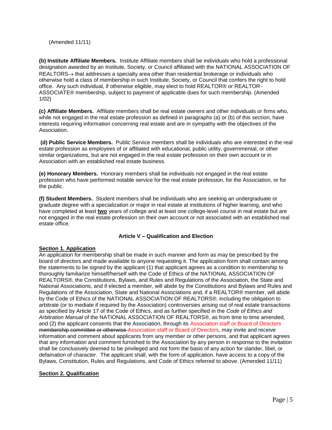(Amended 11/11)

**(b) Institute Affiliate Members.** Institute Affiliate members shall be individuals who hold a professional designation awarded by an Institute, Society, or Council affiliated with the NATIONAL ASSOCIATION OF  $REALTORS \rightarrow$  that addresses a specialty area other than residential brokerage or individuals who otherwise hold a class of membership in such Institute, Society, or Council that confers the right to hold office. Any such individual, if otherwise eligible, may elect to hold REALTOR® or REALTOR-ASSOCIATE® membership, subject to payment of applicable dues for such membership. (Amended 1/02)

**(c) Affiliate Members.** Affiliate members shall be real estate owners and other individuals or firms who, while not engaged in the real estate profession as defined in paragraphs (a) or (b) of this section, have interests requiring information concerning real estate and are in sympathy with the objectives of the Association.

**(d) Public Service Members.** Public Service members shall be individuals who are interested in the real estate profession as employees of or affiliated with educational, public utility, governmental, or other similar organizations, but are not engaged in the real estate profession on their own account or in Association with an established real estate business.

**(e) Honorary Members.** Honorary members shall be individuals not engaged in the real estate profession who have performed notable service for the real estate profession, for the Association, or for the public.

**(f) Student Members.** Student members shall be individuals who are seeking an undergraduate or graduate degree with a specialization or major in real estate at institutions of higher learning, and who have completed at least **two** years of college and at least one college-level course in real estate but are not engaged in the real estate profession on their own account or not associated with an established real estate office.

# **Article V – Qualification and Election**

# **Section 1. Application**

An application for membership shall be made in such manner and form as may be prescribed by the board of directors and made available to anyone requesting it. The application form shall contain among the statements to be signed by the applicant (1) that applicant agrees as a condition to membership to thoroughly familiarize himself/herself with the Code of Ethics of the NATIONAL ASSOCIATION OF REALTORS®, the Constitutions, Bylaws, and Rules and Regulations of the Association, the State and National Associations, and if elected a member, will abide by the Constitutions and Bylaws and Rules and Regulations of the Association, State and National Associations and, if a REALTOR® member, will abide by the Code of Ethics of the NATIONAL ASSOCIATION OF REALTORS®, including the obligation to arbitrate (or to mediate if required by the Association) controversies arising out of real estate transactions as specified by Article 17 of the Code of Ethics, and as further specified in the *Code of Ethics and Arbitration Manual* of the NATIONAL ASSOCIATION OF REALTORS®, as from time to time amended, and (2) the applicant consents that the Association, through its Association staff or Board of Directors membership committee or otherwise Association staff or Board of Directors, may invite and receive information and comment about applicants from any member or other persons, and that applicant agrees that any information and comment furnished to the Association by any person in response to the invitation shall be conclusively deemed to be privileged and not form the basis of any action for slander, libel, or defamation of character. The applicant shall, with the form of application, have access to a copy of the Bylaws, Constitution, Rules and Regulations, and Code of Ethics referred to above. (Amended 11/11)

# **Section 2. Qualification**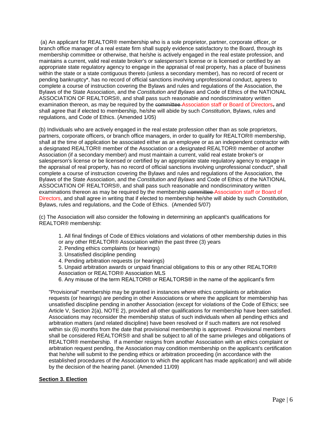(a) An applicant for REALTOR® membership who is a sole proprietor, partner, corporate officer, or branch office manager of a real estate firm shall supply evidence satisfactory to the Board, through its membership committee or otherwise, that he/she is actively engaged in the real estate profession, and maintains a current, valid real estate broker's or salesperson's license or is licensed or certified by an appropriate state regulatory agency to engage in the appraisal of real property, has a place of business within the state or a state contiguous thereto (unless a secondary member), has no record of recent or pending bankruptcy\*, has no record of official sanctions involving unprofessional conduct, agrees to complete a course of instruction covering the Bylaws and rules and regulations of the Association, the Bylaws of the State Association, and the *Constitution and Bylaws* and Code of Ethics of the NATIONAL ASSOCIATION OF REALTORS®, and shall pass such reasonable and nondiscriminatory written examination thereon, as may be required by the committee Association staff or Board of Directors, and shall agree that if elected to membership, he/she will abide by such *Constitution*, Bylaws, rules and regulations, and Code of Ethics. (Amended 1/05)

(b) Individuals who are actively engaged in the real estate profession other than as sole proprietors, partners, corporate officers, or branch office managers, in order to qualify for REALTOR® membership, shall at the time of application be associated either as an employee or as an independent contractor with a designated REALTOR® member of the Association or a designated REALTOR® member of another Association (if a secondary member) and must maintain a current, valid real estate broker's or salesperson's license or be licensed or certified by an appropriate state regulatory agency to engage in the appraisal of real property, has no record of official sanctions involving unprofessional conduct\*, shall complete a course of instruction covering the Bylaws and rules and regulations of the Association, the Bylaws of the State Association, and the *Constitution and Bylaws* and Code of Ethics of the NATIONAL ASSOCIATION OF REALTORS®, and shall pass such reasonable and nondiscriminatory written examinations thereon as may be required by the membership committee Association staff or Board of Directors, and shall agree in writing that if elected to membership he/she will abide by such *Constitution*, Bylaws, rules and regulations, and the Code of Ethics. (Amended 5/07)

(c) The Association will also consider the following in determining an applicant's qualifications for REALTOR® membership:

- 1. All final findings of Code of Ethics violations and violations of other membership duties in this
- or any other REALTOR® Association within the past three (3) years
- 2. Pending ethics complaints (or hearings)
- 3. Unsatisfied discipline pending
- 4. Pending arbitration requests (or hearings)
- 5. Unpaid arbitration awards or unpaid financial obligations to this or any other REALTOR® Association or REALTOR® Association MLS
- 6. Any misuse of the term REALTOR® or REALTORS® in the name of the applicant's firm

"Provisional" membership may be granted in instances where ethics complaints or arbitration requests (or hearings) are pending in other Associations or where the applicant for membership has unsatisfied discipline pending in another Association (except for violations of the Code of Ethics; see Article V, Section 2(a), NOTE 2), provided all other qualifications for membership have been satisfied. Associations may reconsider the membership status of such individuals when all pending ethics and arbitration matters (and related discipline) have been resolved or if such matters are not resolved within six (6) months from the date that provisional membership is approved. Provisional members shall be considered REALTORS® and shall be subject to all of the same privileges and obligations of REALTOR® membership. If a member resigns from another Association with an ethics complaint or arbitration request pending, the Association may condition membership on the applicant's certification that he/she will submit to the pending ethics or arbitration proceeding (in accordance with the established procedures of the Association to which the applicant has made application) and will abide by the decision of the hearing panel. (Amended 11/09)

# **Section 3. Election**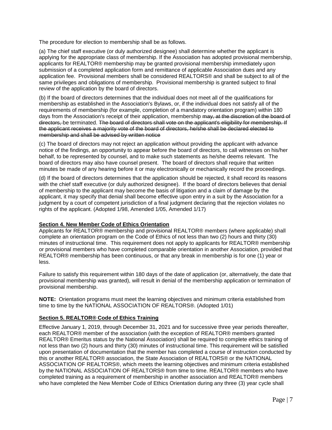The procedure for election to membership shall be as follows.

(a) The chief staff executive (or duly authorized designee) shall determine whether the applicant is applying for the appropriate class of membership. If the Association has adopted provisional membership, applicants for REALTOR® membership may be granted provisional membership immediately upon submission of a completed application form and remittance of applicable Association dues and any application fee. Provisional members shall be considered REALTORS® and shall be subject to all of the same privileges and obligations of membership. Provisional membership is granted subject to final review of the application by the board of directors.

(b) If the board of directors determines that the individual does not meet all of the qualifications for membership as established in the Association's Bylaws, or, if the individual does not satisfy all of the requirements of membership (for example, completion of a mandatory orientation program) within 180 days from the Association's receipt of their application, membership may, at the discretion of the board of directors, be terminated. The board of directors shall vote on the applicant's eligibility for membership. If the applicant receives a majority vote of the board of directors, he/she shall be declared elected to membership and shall be advised by written notice

(c) The board of directors may not reject an application without providing the applicant with advance notice of the findings, an opportunity to appear before the board of directors, to call witnesses on his/her behalf, to be represented by counsel, and to make such statements as he/she deems relevant. The board of directors may also have counsel present. The board of directors shall require that written minutes be made of any hearing before it or may electronically or mechanically record the proceedings.

(d) If the board of directors determines that the application should be rejected, it shall record its reasons with the chief staff executive (or duly authorized designee). If the board of directors believes that denial of membership to the applicant may become the basis of litigation and a claim of damage by the applicant, it may specify that denial shall become effective upon entry in a suit by the Association for a judgment by a court of competent jurisdiction of a final judgment declaring that the rejection violates no rights of the applicant. (Adopted 1/98, Amended 1/05, Amended 1/17)

# **Section 4. New Member Code of Ethics Orientation**

Applicants for REALTOR® membership and provisional REALTOR® members (where applicable) shall complete an orientation program on the Code of Ethics of not less than two (2) hours and thirty (30) minutes of instructional time. This requirement does not apply to applicants for REALTOR® membership or provisional members who have completed comparable orientation in another Association, provided that REALTOR® membership has been continuous, or that any break in membership is for one (1) year or less.

Failure to satisfy this requirement within 180 days of the date of application (or, alternatively, the date that provisional membership was granted), will result in denial of the membership application or termination of provisional membership.

**NOTE:** Orientation programs must meet the learning objectives and minimum criteria established from time to time by the NATIONAL ASSOCIATION OF REALTORS®. (Adopted 1/01)

# **Section 5. REALTOR® Code of Ethics Training**

Effective January 1, 2019, through December 31, 2021 and for successive three year periods thereafter, each REALTOR® member of the association (with the exception of REALTOR® members granted REALTOR® Emeritus status by the National Association) shall be required to complete ethics training of not less than two (2) hours and thirty (30) minutes of instructional time. This requirement will be satisfied upon presentation of documentation that the member has completed a course of instruction conducted by this or another REALTOR® association, the State Association of REALTORS® or the NATIONAL ASSOCIATION OF REALTORS®, which meets the learning objectives and minimum criteria established by the NATIONAL ASSOCIATION OF REALTORS® from time to time. REALTOR® members who have completed training as a requirement of membership in another association and REALTOR® members who have completed the New Member Code of Ethics Orientation during any three (3) year cycle shall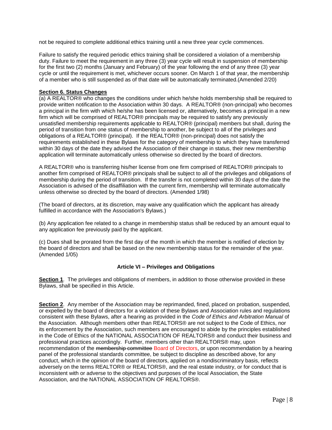not be required to complete additional ethics training until a new three year cycle commences.

Failure to satisfy the required periodic ethics training shall be considered a violation of a membership duty. Failure to meet the requirement in any three (3) year cycle will result in suspension of membership for the first two (2) months (January and February) of the year following the end of any three (3) year cycle or until the requirement is met, whichever occurs sooner. On March 1 of that year, the membership of a member who is still suspended as of that date will be automatically terminated.(Amended 2/20)

# **Section 6. Status Changes**

(a) A REALTOR® who changes the conditions under which he/she holds membership shall be required to provide written notification to the Association within 30 days. A REALTOR® (non-principal) who becomes a principal in the firm with which he/she has been licensed or, alternatively, becomes a principal in a new firm which will be comprised of REALTOR® principals may be required to satisfy any previously unsatisfied membership requirements applicable to REALTOR® (principal) members but shall, during the period of transition from one status of membership to another, be subject to all of the privileges and obligations of a REALTOR® (principal). If the REALTOR® (non-principal) does not satisfy the requirements established in these Bylaws for the category of membership to which they have transferred within 30 days of the date they advised the Association of their change in status, their new membership application will terminate automatically unless otherwise so directed by the board of directors.

A REALTOR® who is transferring his/her license from one firm comprised of REALTOR® principals to another firm comprised of REALTOR® principals shall be subject to all of the privileges and obligations of membership during the period of transition. If the transfer is not completed within 30 days of the date the Association is advised of the disaffiliation with the current firm, membership will terminate automatically unless otherwise so directed by the board of directors. (Amended 1/98)

(The board of directors, at its discretion, may waive any qualification which the applicant has already fulfilled in accordance with the Association's Bylaws.)

(b) Any application fee related to a change in membership status shall be reduced by an amount equal to any application fee previously paid by the applicant.

(c) Dues shall be prorated from the first day of the month in which the member is notified of election by the board of directors and shall be based on the new membership status for the remainder of the year. (Amended 1/05)

# **Article VI – Privileges and Obligations**

**Section 1**. The privileges and obligations of members, in addition to those otherwise provided in these Bylaws, shall be specified in this Article.

**Section 2**. Any member of the Association may be reprimanded, fined, placed on probation, suspended, or expelled by the board of directors for a violation of these Bylaws and Association rules and regulations consistent with these Bylaws, after a hearing as provided in the *Code of Ethics and Arbitration Manual* of the Association. Although members other than REALTORS® are not subject to the Code of Ethics, nor its enforcement by the Association, such members are encouraged to abide by the principles established in the Code of Ethics of the NATIONAL ASSOCIATION OF REALTORS® and conduct their business and professional practices accordingly. Further, members other than REALTORS® may, upon recommendation of the membership committee Board of Directors, or upon recommendation by a hearing panel of the professional standards committee, be subject to discipline as described above, for any conduct, which in the opinion of the board of directors, applied on a nondiscriminatory basis, reflects adversely on the terms REALTOR® or REALTORS®, and the real estate industry, or for conduct that is inconsistent with or adverse to the objectives and purposes of the local Association, the State Association, and the NATIONAL ASSOCIATION OF REALTORS®.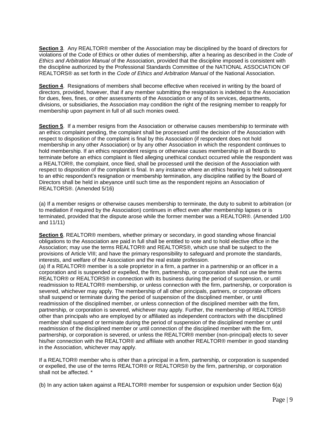**Section 3**. Any REALTOR® member of the Association may be disciplined by the board of directors for violations of the Code of Ethics or other duties of membership, after a hearing as described in the *Code of Ethics and Arbitration Manual* of the Association, provided that the discipline imposed is consistent with the discipline authorized by the Professional Standards Committee of the NATIONAL ASSOCIATION OF REALTORS® as set forth in the *Code of Ethics and Arbitration Manual* of the National Association.

**Section 4**. Resignations of members shall become effective when received in writing by the board of directors, provided, however, that if any member submitting the resignation is indebted to the Association for dues, fees, fines, or other assessments of the Association or any of its services, departments, divisions, or subsidiaries, the Association may condition the right of the resigning member to reapply for membership upon payment in full of all such monies owed.

**Section 5**. If a member resigns from the Association or otherwise causes membership to terminate with an ethics complaint pending, the complaint shall be processed until the decision of the Association with respect to disposition of the complaint is final by this Association (if respondent does not hold membership in any other Association) or by any other Association in which the respondent continues to hold membership. If an ethics respondent resigns or otherwise causes membership in all Boards to terminate before an ethics complaint is filed alleging unethical conduct occurred while the respondent was a REALTOR®, the complaint, once filed, shall be processed until the decision of the Association with respect to disposition of the complaint is final. In any instance where an ethics hearing is held subsequent to an ethic respondent's resignation or membership termination, any discipline ratified by the Board of Directors shall be held in abeyance until such time as the respondent rejoins an Association of REALTORS®. (Amended 5/16)

(a) If a member resigns or otherwise causes membership to terminate, the duty to submit to arbitration (or to mediation if required by the Association) continues in effect even after membership lapses or is terminated, provided that the dispute arose while the former member was a REALTOR®. (Amended 1/00 and 11/11)

**Section 6**. REALTOR® members, whether primary or secondary, in good standing whose financial obligations to the Association are paid in full shall be entitled to vote and to hold elective office in the Association; may use the terms REALTOR® and REALTORS®, which use shall be subject to the provisions of Article VIII; and have the primary responsibility to safeguard and promote the standards, interests, and welfare of the Association and the real estate profession.

(a) If a REALTOR® member is a sole proprietor in a firm, a partner in a partnership or an officer in a corporation and is suspended or expelled, the firm, partnership, or corporation shall not use the terms REALTOR® or REALTORS® in connection with its business during the period of suspension, or until readmission to REALTOR® membership, or unless connection with the firm, partnership, or corporation is severed, whichever may apply. The membership of all other principals, partners, or corporate officers shall suspend or terminate during the period of suspension of the disciplined member, or until readmission of the disciplined member, or unless connection of the disciplined member with the firm, partnership, or corporation is severed, whichever may apply. Further, the membership of REALTORS® other than principals who are employed by or affiliated as independent contractors with the disciplined member shall suspend or terminate during the period of suspension of the disciplined member or until readmission of the disciplined member or until connection of the disciplined member with the firm, partnership, or corporation is severed, or unless the REALTOR® member (non-principal) elects to sever his/her connection with the REALTOR® and affiliate with another REALTOR® member in good standing in the Association, whichever may apply.

If a REALTOR® member who is other than a principal in a firm, partnership, or corporation is suspended or expelled, the use of the terms REALTOR® or REALTORS® by the firm, partnership, or corporation shall not be affected. \*

(b) In any action taken against a REALTOR® member for suspension or expulsion under Section 6(a)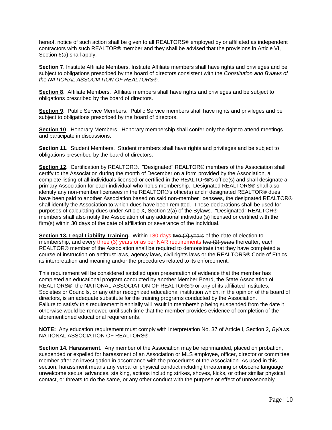hereof, notice of such action shall be given to all REALTORS® employed by or affiliated as independent contractors with such REALTOR® member and they shall be advised that the provisions in Article VI, Section 6(a) shall apply.

**Section 7**. Institute Affiliate Members. Institute Affiliate members shall have rights and privileges and be subject to obligations prescribed by the board of directors consistent with the *Constitution and Bylaws of the NATIONAL ASSOCIATION OF REALTORS®*.

**Section 8**. Affiliate Members. Affiliate members shall have rights and privileges and be subject to obligations prescribed by the board of directors.

**Section 9**. Public Service Members. Public Service members shall have rights and privileges and be subject to obligations prescribed by the board of directors.

**Section 10**. Honorary Members. Honorary membership shall confer only the right to attend meetings and participate in discussions.

**Section 11**. Student Members. Student members shall have rights and privileges and be subject to obligations prescribed by the board of directors.

**Section 12**. Certification by REALTOR®. "Designated" REALTOR® members of the Association shall certify to the Association during the month of December on a form provided by the Association, a complete listing of all individuals licensed or certified in the REALTOR®'s office(s) and shall designate a primary Association for each individual who holds membership. Designated REALTORS® shall also identify any non-member licensees in the REALTOR®'s office(s) and if designated REALTOR® dues have been paid to another Association based on said non-member licensees, the designated REALTOR® shall identify the Association to which dues have been remitted. These declarations shall be used for purposes of calculating dues under Article X, Section 2(a) of the Bylaws. "Designated" REALTOR® members shall also notify the Association of any additional individual(s) licensed or certified with the firm(s) within 30 days of the date of affiliation or severance of the individual.

**Section 13. Legal Liability Training.** Within 180 days two (2) years of the date of election to membership, and every three (3) years or as per NAR requirements two (2) years thereafter, each REALTOR® member of the Association shall be required to demonstrate that they have completed a course of instruction on antitrust laws, agency laws, civil rights laws or the REALTORS® Code of Ethics, its interpretation and meaning and/or the procedures related to its enforcement.

This requirement will be considered satisfied upon presentation of evidence that the member has completed an educational program conducted by another Member Board, the State Association of REALTORS®, the NATIONAL ASSOCIATION OF REALTORS® or any of its affiliated Institutes, Societies or Councils, or any other recognized educational institution which, in the opinion of the board of directors, is an adequate substitute for the training programs conducted by the Association. Failure to satisfy this requirement biennially will result in membership being suspended from the date it otherwise would be renewed until such time that the member provides evidence of completion of the aforementioned educational requirements.

**NOTE:** Any education requirement must comply with Interpretation No. 37 of Article I, Section 2, *Bylaws*, NATIONAL ASSOCIATION OF REALTORS®.

**Section 14. Harassment.** Any member of the Association may be reprimanded, placed on probation, suspended or expelled for harassment of an Association or MLS employee, officer, director or committee member after an investigation in accordance with the procedures of the Association. As used in this section, harassment means any verbal or physical conduct including threatening or obscene language, unwelcome sexual advances, stalking, actions including strikes, shoves, kicks, or other similar physical contact, or threats to do the same, or any other conduct with the purpose or effect of unreasonably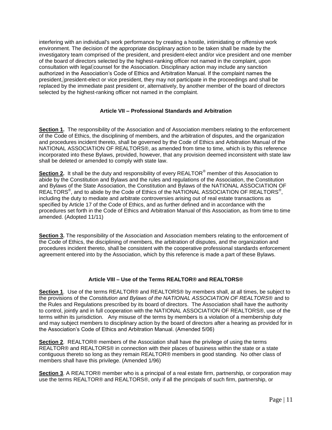interfering with an individual's work performance by creating a hostile, intimidating or offensive work environment. The decision of the appropriate disciplinary action to be taken shall be made by the investigatory team comprised of the president, and president-elect and/or vice president and one member of the board of directors selected by the highest-ranking officer not named in the complaint, upon consultation with legal counsel for the Association. Disciplinary action may include any sanction authorized in the Association's Code of Ethics and Arbitration Manual. If the complaint names the president, president-elect or vice president, they may not participate in the proceedings and shall be replaced by the immediate past president or, alternatively, by another member of the board of directors selected by the highest-ranking officer not named in the complaint.

# **Article VII – Professional Standards and Arbitration**

**Section 1.** The responsibility of the Association and of Association members relating to the enforcement of the Code of Ethics, the disciplining of members, and the arbitration of disputes, and the organization and procedures incident thereto, shall be governed by the Code of Ethics and Arbitration Manual of the NATIONAL ASSOCIATION OF REALTORS®, as amended from time to time, which is by this reference incorporated into these Bylaws, provided, however, that any provision deemed inconsistent with state law shall be deleted or amended to comply with state law.

**Section 2.** It shall be the duty and responsibility of every REALTOR<sup>®</sup> member of this Association to abide by the Constitution and Bylaws and the rules and regulations of the Association, the Constitution and Bylaws of the State Association, the Constitution and Bylaws of the NATIONAL ASSOCIATION OF REALTORS<sup>®</sup>, and to abide by the Code of Ethics of the NATIONAL ASSOCIATION OF REALTORS<sup>®</sup>, including the duty to mediate and arbitrate controversies arising out of real estate transactions as specified by Article 17 of the Code of Ethics, and as further defined and in accordance with the procedures set forth in the Code of Ethics and Arbitration Manual of this Association, as from time to time amended. (Adopted 11/11)

**Section 3.** The responsibility of the Association and Association members relating to the enforcement of the Code of Ethics, the disciplining of members, the arbitration of disputes, and the organization and procedures incident thereto, shall be consistent with the cooperative professional standards enforcement agreement entered into by the Association, which by this reference is made a part of these Bylaws.

# **Article VIII – Use of the Terms REALTOR® and REALTORS®**

**Section 1**. Use of the terms REALTOR® and REALTORS® by members shall, at all times, be subject to the provisions of the *Constitution and Bylaws of the NATIONAL ASSOCIATION OF REALTORS®* and to the Rules and Regulations prescribed by its board of directors. The Association shall have the authority to control, jointly and in full cooperation with the NATIONAL ASSOCIATION OF REALTORS®, use of the terms within its jurisdiction. Any misuse of the terms by members is a violation of a membership duty and may subject members to disciplinary action by the board of directors after a hearing as provided for in the Association's Code of Ethics and Arbitration Manual. (Amended 5/06)

**Section 2**. REALTOR® members of the Association shall have the privilege of using the terms REALTOR® and REALTORS® in connection with their places of business within the state or a state contiguous thereto so long as they remain REALTOR® members in good standing. No other class of members shall have this privilege. (Amended 1/96)

**Section 3**. A REALTOR® member who is a principal of a real estate firm, partnership, or corporation may use the terms REALTOR® and REALTORS®, only if all the principals of such firm, partnership, or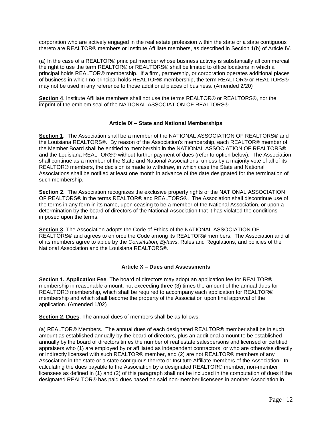corporation who are actively engaged in the real estate profession within the state or a state contiguous thereto are REALTOR® members or Institute Affiliate members, as described in Section 1(b) of Article IV.

(a) In the case of a REALTOR® principal member whose business activity is substantially all commercial, the right to use the term REALTOR® or REALTORS® shall be limited to office locations in which a principal holds REALTOR® membership. If a firm, partnership, or corporation operates additional places of business in which no principal holds REALTOR® membership, the term REALTOR® or REALTORS® may not be used in any reference to those additional places of business. (Amended 2/20)

**Section 4**. Institute Affiliate members shall not use the terms REALTOR® or REALTORS®, nor the imprint of the emblem seal of the NATIONAL ASSOCIATION OF REALTORS®.

# **Article IX – State and National Memberships**

**Section 1**. The Association shall be a member of the NATIONAL ASSOCIATION OF REALTORS® and the Louisiana REALTORS®. By reason of the Association's membership, each REALTOR® member of the Member Board shall be entitled to membership in the NATIONAL ASSOCIATION OF REALTORS® and the Louisiana REALTORS® without further payment of dues (refer to option below). The Association shall continue as a member of the State and National Associations, unless by a majority vote of all of its REALTOR® members, the decision is made to withdraw, in which case the State and National Associations shall be notified at least one month in advance of the date designated for the termination of such membership.

**Section 2**. The Association recognizes the exclusive property rights of the NATIONAL ASSOCIATION OF REALTORS® in the terms REALTOR® and REALTORS®. The Association shall discontinue use of the terms in any form in its name, upon ceasing to be a member of the National Association, or upon a determination by the board of directors of the National Association that it has violated the conditions imposed upon the terms.

**Section 3**. The Association adopts the Code of Ethics of the NATIONAL ASSOCIATION OF REALTORS® and agrees to enforce the Code among its REALTOR® members. The Association and all of its members agree to abide by the *Constitution***,** *Bylaws*, Rules and Regulations, and policies of the National Association and the Louisiana REALTORS®.

# **Article X – Dues and Assessments**

**Section 1. Application Fee**. The board of directors may adopt an application fee for REALTOR® membership in reasonable amount, not exceeding three (3) times the amount of the annual dues for REALTOR® membership, which shall be required to accompany each application for REALTOR® membership and which shall become the property of the Association upon final approval of the application. (Amended 1/02)

**Section 2. Dues**. The annual dues of members shall be as follows:

(a) REALTOR® Members. The annual dues of each designated REALTOR® member shall be in such amount as established annually by the board of directors, plus an additional amount to be established annually by the board of directors times the number of real estate salespersons and licensed or certified appraisers who (1) are employed by or affiliated as independent contractors, or who are otherwise directly or indirectly licensed with such REALTOR® member, and (2) are not REALTOR® members of any Association in the state or a state contiguous thereto or Institute Affiliate members of the Association. In calculating the dues payable to the Association by a designated REALTOR® member, non-member licensees as defined in (1) and (2) of this paragraph shall not be included in the computation of dues if the designated REALTOR® has paid dues based on said non-member licensees in another Association in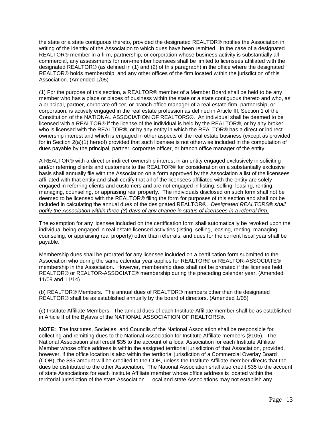the state or a state contiguous thereto, provided the designated REALTOR® notifies the Association in writing of the identity of the Association to which dues have been remitted. In the case of a designated REALTOR® member in a firm, partnership, or corporation whose business activity is substantially all commercial, any assessments for non-member licensees shall be limited to licensees affiliated with the designated REALTOR® (as defined in (1) and (2) of this paragraph) in the office where the designated REALTOR® holds membership, and any other offices of the firm located within the jurisdiction of this Association. (Amended 1/05)

(1) For the purpose of this section, a REALTOR® member of a Member Board shall be held to be any member who has a place or places of business within the state or a state contiguous thereto and who, as a principal, partner, corporate officer, or branch office manager of a real estate firm, partnership, or corporation, is actively engaged in the real estate profession as defined in Article III, Section 1 of the Constitution of the NATIONAL ASSOCIATION OF REALTORS®. An individual shall be deemed to be licensed with a REALTOR® if the license of the individual is held by the REALTOR®, or by any broker who is licensed with the REALTOR®, or by any entity in which the REALTOR® has a direct or indirect ownership interest and which is engaged in other aspects of the real estate business (except as provided for in Section 2(a)(1) hereof) provided that such licensee is not otherwise included in the computation of dues payable by the principal, partner, corporate officer, or branch office manager of the entity.

A REALTOR® with a direct or indirect ownership interest in an entity engaged exclusively in soliciting and/or referring clients and customers to the REALTOR® for consideration on a substantially exclusive basis shall annually file with the Association on a form approved by the Association a list of the licensees affiliated with that entity and shall certify that all of the licensees affiliated with the entity are solely engaged in referring clients and customers and are not engaged in listing, selling, leasing, renting, managing, counseling, or appraising real property. The individuals disclosed on such form shall not be deemed to be licensed with the REALTOR® filing the form for purposes of this section and shall not be included in calculating the annual dues of the designated REALTOR®. *Designated REALTORS® shall notify the Association within three (3) days of any change in status of licensees in a referral firm.*

The exemption for any licensee included on the certification form shall automatically be revoked upon the individual being engaged in real estate licensed activities (listing, selling, leasing, renting, managing, counseling, or appraising real property) other than referrals, and dues for the current fiscal year shall be payable.

Membership dues shall be prorated for any licensee included on a certification form submitted to the Association who during the same calendar year applies for REALTOR® or REALTOR-ASSOCIATE® membership in the Association. However, membership dues shall not be prorated if the licensee held REALTOR® or REALTOR-ASSOCIATE® membership during the preceding calendar year. (Amended 11/09 and 11/14)

(b) REALTOR® Members. The annual dues of REALTOR® members other than the designated REALTOR® shall be as established annually by the board of directors. (Amended 1/05)

(c) Institute Affiliate Members. The annual dues of each Institute Affiliate member shall be as established in Article II of the Bylaws of the NATIONAL ASSOCIATION OF REALTORS®.

**NOTE:** The Institutes, Societies, and Councils of the National Association shall be responsible for collecting and remitting dues to the National Association for Institute Affiliate members (\$105). The National Association shall credit \$35 to the account of a local Association for each Institute Affiliate Member whose office address is within the assigned territorial jurisdiction of that Association, provided, however, if the office location is also within the territorial jurisdiction of a Commercial Overlay Board (COB), the \$35 amount will be credited to the COB, unless the Institute Affiliate member directs that the dues be distributed to the other Association. The National Association shall also credit \$35 to the account of state Associations for each Institute Affiliate member whose office address is located within the territorial jurisdiction of the state Association. Local and state Associations may not establish any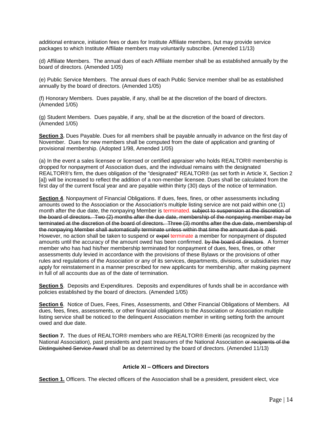additional entrance, initiation fees or dues for Institute Affiliate members, but may provide service packages to which Institute Affiliate members may voluntarily subscribe. (Amended 11/13)

(d) Affiliate Members. The annual dues of each Affiliate member shall be as established annually by the board of directors. (Amended 1/05)

(e) Public Service Members. The annual dues of each Public Service member shall be as established annually by the board of directors. (Amended 1/05)

(f) Honorary Members. Dues payable, if any, shall be at the discretion of the board of directors. (Amended 1/05)

(g) Student Members. Dues payable, if any, shall be at the discretion of the board of directors. (Amended 1/05)

**Section 3.** Dues Payable. Dues for all members shall be payable annually in advance on the first day of November. Dues for new members shall be computed from the date of application and granting of provisional membership. (Adopted 1/98, Amended 1/05)

(a) In the event a sales licensee or licensed or certified appraiser who holds REALTOR® membership is dropped for nonpayment of Association dues, and the individual remains with the designated REALTOR®'s firm, the dues obligation of the "designated" REALTOR® (as set forth in Article X, Section 2 [a]) will be increased to reflect the addition of a non-member licensee. Dues shall be calculated from the first day of the current fiscal year and are payable within thirty (30) days of the notice of termination.

**Section 4**. Nonpayment of Financial Obligations. If dues, fees, fines, or other assessments including amounts owed to the Association or the Association's multiple listing service are not paid within one (1) month after the due date, the nonpaying Member is terminated. subject to suspension at the discretion of the board of directors. Two (2) months after the due date, membership of the nonpaying member may be terminated at the discretion of the board of directors. Three (3) months after the due date, membership of the nonpaying Member shall automatically terminate unless within that time the amount due is paid. However, no action shall be taken to suspend or expel terminate a member for nonpayment of disputed amounts until the accuracy of the amount owed has been confirmed. by the board of directors. A former member who has had his/her membership terminated for nonpayment of dues, fees, fines, or other assessments duly levied in accordance with the provisions of these Bylaws or the provisions of other rules and regulations of the Association or any of its services, departments, divisions, or subsidiaries may apply for reinstatement in a manner prescribed for new applicants for membership, after making payment in full of all accounts due as of the date of termination.

**Section 5**. Deposits and Expenditures. Deposits and expenditures of funds shall be in accordance with policies established by the board of directors. (Amended 1/05)

**Section 6**. Notice of Dues, Fees, Fines, Assessments, and Other Financial Obligations of Members. All dues, fees, fines, assessments, or other financial obligations to the Association or Association multiple listing service shall be noticed to the delinquent Association member in writing setting forth the amount owed and due date.

**Section 7.** The dues of REALTOR® members who are REALTOR® Emeriti (as recognized by the National Association), past presidents and past treasurers of the National Association or recipients of the Distinguished Service Award shall be as determined by the board of directors. (Amended 11/13)

# **Article XI – Officers and Directors**

**Section 1.** Officers. The elected officers of the Association shall be a president, president elect, vice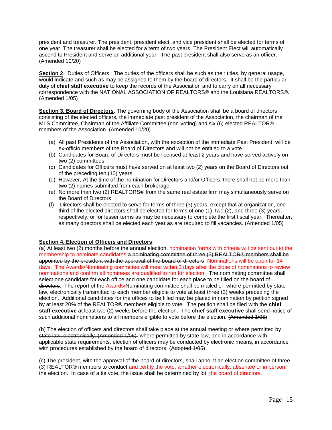president and treasurer. The president, president elect, and vice president shall be elected for terms of one year. The treasurer shall be elected for a term of two years. The President Elect will automatically ascend to President and serve an additional year. The past president shall also serve as an officer. (Amended 10/20)

**Section 2.** Duties of Officers. The duties of the officers shall be such as their titles, by general usage, would indicate and such as may be assigned to them by the board of directors. It shall be the particular duty of **chief staff executive** to keep the records of the Association and to carry on all necessary correspondence with the NATIONAL ASSOCIATION OF REALTORS® and the Louisiana REALTORS®. (Amended 1/05)

**Section 3. Board of Directors**. The governing body of the Association shall be a board of directors consisting of the elected officers, the immediate past president of the Association, the chairman of the MLS Committee, Chairman of the Affiliate Committee (non-voting) and six (6) elected REALTOR® members of the Association. (Amended 10/20)

- (a) All past Presidents of the Association, with the exception of the immediate Past President, will be ex-officio members of the Board of Directors and will not be entitled to a vote.
- (b) Candidates for Board of Directors must be licensed at least 2 years and have served actively on two (2) committees.
- (c) Candidates for Officers must have served on at least two (2) years on the Board of Directors out of the preceding ten (10) years.
- (d) However, At the time of the nomination for Directors and/or Officers, there shall not be more than two (2) names submitted from each brokerage.
- (e) No more than two (2) REALTORS® from the same real estate firm may simultaneously serve on the Board of Directors.
- (f) Directors shall be elected to serve for terms of three (3) years, except that at organization, onethird of the elected directors shall be elected for terms of one (1), two (2), and three (3) years, respectively, or for lesser terms as may be necessary to complete the first fiscal year. Thereafter, as many directors shall be elected each year as are required to fill vacancies. (Amended 1/05)

# **Section 4. Election of Officers and Directors**.

(a) At least two (2) months before the annual election, nomination forms with criteria will be sent out to the membership to nominate candidates a nominating committee of three (3) REALTOR® members shall be appointed by the president with the approval of the board of directors. Nominations will be open for 14 days. The Awards/Nominating committee will meet within 3 days after the close of nominations to review nominations and confirm all nominees are qualified to run for election. The nominating committee shall select one candidate for each office and one candidate for each place to be filled on the board of directors. The report of the Awards/Nominating committee shall be mailed or, where permitted by state law, electronically transmitted to each member eligible to vote at least three (3) weeks preceding the election. Additional candidates for the offices to be filled may be placed in nomination by petition signed by at least 20% of the REALTOR® members eligible to vote. The petition shall be filed with the **chief staff executive** at least two (2) weeks before the election. The **chief staff executive** shall send notice of such additional nominations to all members eligible to vote before the election. (Amended 1/05)

(b) The election of officers and directors shall take place at the annual meeting or where permitted by state law, electronically. (Amended 1/05) where permitted by state law, and in accordance with applicable state requirements, election of officers may be conducted by electronic means, in accordance with procedures established by the board of directors. (Adopted 1/05)

(c) The president, with the approval of the board of directors, shall appoint an election committee of three (3) REALTOR® members to conduct and certify the vote; whether electronically, absentee or in person. the election. In case of a tie vote, the issue shall be determined by lot the board of directors.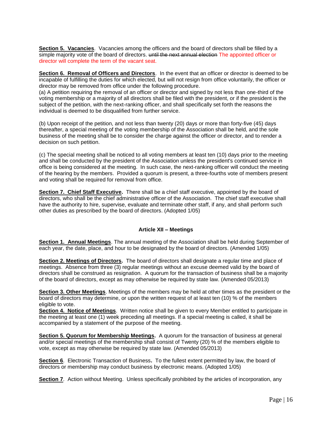**Section 5. Vacancies**. Vacancies among the officers and the board of directors shall be filled by a simple majority vote of the board of directors. <del>until the next annual election</del> The appointed officer or director will complete the term of the vacant seat.

**Section 6. Removal of Officers and Directors**. In the event that an officer or director is deemed to be incapable of fulfilling the duties for which elected, but will not resign from office voluntarily, the officer or director may be removed from office under the following procedure.

(a) A petition requiring the removal of an officer or director and signed by not less than one-third of the voting membership or a majority of all directors shall be filed with the president, or if the president is the subject of the petition, with the next-ranking officer, and shall specifically set forth the reasons the individual is deemed to be disqualified from further service.

(b) Upon receipt of the petition, and not less than twenty (20) days or more than forty-five (45) days thereafter, a special meeting of the voting membership of the Association shall be held, and the sole business of the meeting shall be to consider the charge against the officer or director, and to render a decision on such petition.

(c) The special meeting shall be noticed to all voting members at least ten (10) days prior to the meeting and shall be conducted by the president of the Association unless the president's continued service in office is being considered at the meeting. In such case, the next-ranking officer will conduct the meeting of the hearing by the members. Provided a quorum is present, a three-fourths vote of members present and voting shall be required for removal from office.

**Section 7. Chief Staff Executive.** There shall be a chief staff executive, appointed by the board of directors, who shall be the chief administrative officer of the Association. The chief staff executive shall have the authority to hire, supervise, evaluate and terminate other staff, if any, and shall perform such other duties as prescribed by the board of directors. (Adopted 1/05)

# **Article XII – Meetings**

**Section 1. Annual Meetings**. The annual meeting of the Association shall be held during September of each year, the date, place, and hour to be designated by the board of directors. (Amended 1/05)

**Section 2. Meetings of Directors.** The board of directors shall designate a regular time and place of meetings. Absence from three (3) regular meetings without an excuse deemed valid by the board of directors shall be construed as resignation. A quorum for the transaction of business shall be a majority of the board of directors, except as may otherwise be required by state law. (Amended 05/2013)

**Section 3. Other Meetings**. Meetings of the members may be held at other times as the president or the board of directors may determine, or upon the written request of at least ten (10) % of the members eligible to vote.

**Section 4. Notice of Meetings**. Written notice shall be given to every Member entitled to participate in the meeting at least one (1) week preceding all meetings. If a special meeting is called, it shall be accompanied by a statement of the purpose of the meeting.

**Section 5. Quorum for Membership Meetings.** A quorum for the transaction of business at general and/or special meetings of the membership shall consist of Twenty (20) % of the members eligible to vote, except as may otherwise be required by state law. (Amended 05/2013)

**Section 6**. Electronic Transaction of Business**.** To the fullest extent permitted by law, the board of directors or membership may conduct business by electronic means. (Adopted 1/05)

**Section 7**. Action without Meeting. Unless specifically prohibited by the articles of incorporation, any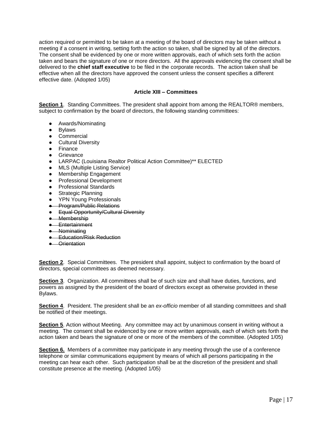action required or permitted to be taken at a meeting of the board of directors may be taken without a meeting if a consent in writing, setting forth the action so taken, shall be signed by all of the directors. The consent shall be evidenced by one or more written approvals, each of which sets forth the action taken and bears the signature of one or more directors. All the approvals evidencing the consent shall be delivered to the **chief staff executive** to be filed in the corporate records. The action taken shall be effective when all the directors have approved the consent unless the consent specifies a different effective date. (Adopted 1/05)

# **Article XIII – Committees**

**Section 1**. Standing Committees. The president shall appoint from among the REALTOR® members, subject to confirmation by the board of directors, the following standing committees:

- Awards/Nominating
- Bylaws
- Commercial
- Cultural Diversity
- Finance
- Grievance
- LARPAC (Louisiana Realtor Political Action Committee)\*\* ELECTED
- MLS (Multiple Listing Service)
- Membership Engagement
- Professional Development
- Professional Standards
- **Strategic Planning**
- YPN Young Professionals
- **Program/Public Relations**
- Equal Opportunity/Cultural Diversity
- Membership
- Entertainment
- Nominating
- **•** Education/Risk Reduction
- Orientation

**Section 2**. Special Committees. The president shall appoint, subject to confirmation by the board of directors, special committees as deemed necessary.

**Section 3**. Organization. All committees shall be of such size and shall have duties, functions, and powers as assigned by the president of the board of directors except as otherwise provided in these Bylaws.

**Section 4**. President. The president shall be an *ex-officio* member of all standing committees and shall be notified of their meetings.

**Section 5**. Action without Meeting. Any committee may act by unanimous consent in writing without a meeting. The consent shall be evidenced by one or more written approvals, each of which sets forth the action taken and bears the signature of one or more of the members of the committee. (Adopted 1/05)

**Section 6.** Members of a committee may participate in any meeting through the use of a conference telephone or similar communications equipment by means of which all persons participating in the meeting can hear each other. Such participation shall be at the discretion of the president and shall constitute presence at the meeting. (Adopted 1/05)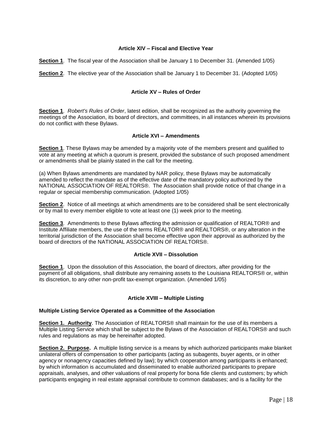# **Article XIV – Fiscal and Elective Year**

**Section 1**. The fiscal year of the Association shall be January 1 to December 31. (Amended 1/05)

**Section 2**. The elective year of the Association shall be January 1 to December 31. (Adopted 1/05)

# **Article XV – Rules of Order**

**Section 1**. *Robert's Rules of Order*, latest edition, shall be recognized as the authority governing the meetings of the Association, its board of directors, and committees, in all instances wherein its provisions do not conflict with these Bylaws.

# **Article XVI – Amendments**

**Section 1**. These Bylaws may be amended by a majority vote of the members present and qualified to vote at any meeting at which a quorum is present, provided the substance of such proposed amendment or amendments shall be plainly stated in the call for the meeting.

(a) When Bylaws amendments are mandated by NAR policy, these Bylaws may be automatically amended to reflect the mandate as of the effective date of the mandatory policy authorized by the NATIONAL ASSOCIATION OF REALTORS®. The Association shall provide notice of that change in a regular or special membership communication. (Adopted 1/05)

**Section 2.** Notice of all meetings at which amendments are to be considered shall be sent electronically or by mail to every member eligible to vote at least one (1) week prior to the meeting.

**Section 3**. Amendments to these Bylaws affecting the admission or qualification of REALTOR® and Institute Affiliate members, the use of the terms REALTOR® and REALTORS®, or any alteration in the territorial jurisdiction of the Association shall become effective upon their approval as authorized by the board of directors of the NATIONAL ASSOCIATION OF REALTORS®.

# **Article XVII – Dissolution**

**Section 1**. Upon the dissolution of this Association, the board of directors, after providing for the payment of all obligations, shall distribute any remaining assets to the Louisiana REALTORS® or, within its discretion, to any other non-profit tax-exempt organization. (Amended 1/05)

# **Article XVIII – Multiple Listing**

# **Multiple Listing Service Operated as a Committee of the Association**

**Section 1. Authority**. The Association of REALTORS® shall maintain for the use of its members a Multiple Listing Service which shall be subject to the Bylaws of the Association of REALTORS® and such rules and regulations as may be hereinafter adopted.

**Section 2. Purpose.** A multiple listing service is a means by which authorized participants make blanket unilateral offers of compensation to other participants (acting as subagents, buyer agents, or in other agency or nonagency capacities defined by law); by which cooperation among participants is enhanced; by which information is accumulated and disseminated to enable authorized participants to prepare appraisals, analyses, and other valuations of real property for bona fide clients and customers; by which participants engaging in real estate appraisal contribute to common databases; and is a facility for the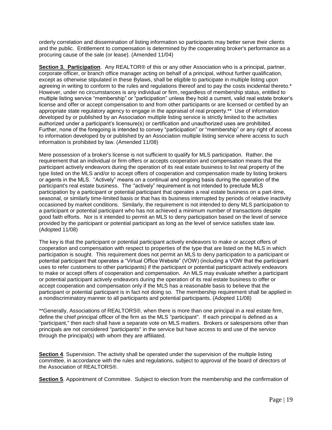orderly correlation and dissemination of listing information so participants may better serve their clients and the public. Entitlement to compensation is determined by the cooperating broker's performance as a procuring cause of the sale (or lease). (Amended 11/04)

**Section 3. Participation**. Any REALTOR® of this or any other Association who is a principal, partner, corporate officer, or branch office manager acting on behalf of a principal, without further qualification, except as otherwise stipulated in these Bylaws, shall be eligible to participate in multiple listing upon agreeing in writing to conform to the rules and regulations thereof and to pay the costs incidental thereto.\* However, under no circumstances is any individual or firm, regardless of membership status, entitled to multiple listing service "membership" or "participation" unless they hold a current, valid real estate broker's license and offer or accept compensation to and from other participants or are licensed or certified by an appropriate state regulatory agency to engage in the appraisal of real property.\*\* Use of information developed by or published by an Association multiple listing service is strictly limited to the activities authorized under a participant's licensure(s) or certification and unauthorized uses are prohibited. Further, none of the foregoing is intended to convey "participation" or "membership" or any right of access to information developed by or published by an Association multiple listing service where access to such information is prohibited by law. (Amended 11/08)

Mere possession of a broker's license is not sufficient to qualify for MLS participation. Rather, the requirement that an individual or firm offers or accepts cooperation and compensation means that the participant actively endeavors during the operation of its real estate business to list real property of the type listed on the MLS and/or to accept offers of cooperation and compensation made by listing brokers or agents in the MLS. "Actively" means on a continual and ongoing basis during the operation of the participant's real estate business. The ''actively" requirement is not intended to preclude MLS participation by a participant or potential participant that operates a real estate business on a part-time, seasonal, or similarly time-limited basis or that has its business interrupted by periods of relative inactivity occasioned by market conditions. Similarly, the requirement is not intended to deny MLS participation to a participant or potential participant who has not achieved a minimum number of transactions despite good faith efforts. Nor is it intended to permit an MLS to deny participation based on the level of service provided by the participant or potential participant as long as the level of service satisfies state law. (Adopted 11/08)

The key is that the participant or potential participant actively endeavors to make or accept offers of cooperation and compensation with respect to properties of the type that are listed on the MLS in which participation is sought. This requirement does not permit an MLS to deny participation to a participant or potential participant that operates a "Virtual Office Website" (VOW) (including a VOW that the participant uses to refer customers to other participants) if the participant or potential participant actively endeavors to make or accept offers of cooperation and compensation. An MLS may evaluate whether a participant or potential participant actively endeavors during the operation of its real estate business to offer or accept cooperation and compensation only if the MLS has a reasonable basis to believe that the participant or potential participant is in fact not doing so. The membership requirement shall be applied in a nondiscriminatory manner to all participants and potential participants. (Adopted 11/08)

\*\*Generally, Associations of REALTORS®, when there is more than one principal in a real estate firm, define the chief principal officer of the firm as the MLS "participant". If each principal is defined as a "participant," then each shall have a separate vote on MLS matters. Brokers or salespersons other than principals are not considered "participants" in the service but have access to and use of the service through the principal(s) with whom they are affiliated.

**Section 4**. Supervision. The activity shall be operated under the supervision of the multiple listing committee, in accordance with the rules and regulations, subject to approval of the board of directors of the Association of REALTORS®.

**Section 5**. Appointment of Committee. Subject to election from the membership and the confirmation of